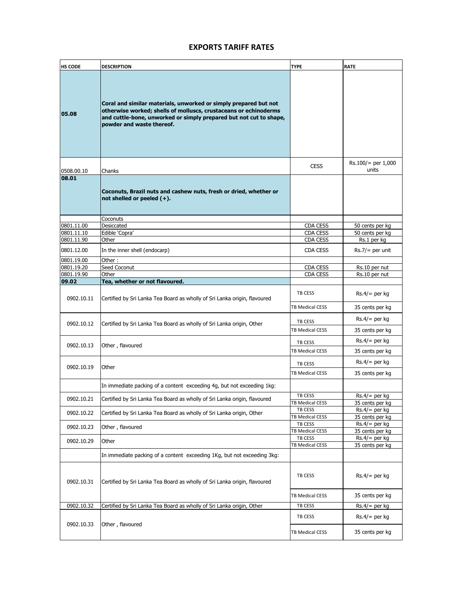## **EXPORTS TARIFF RATES**

| <b>HS CODE</b> | <b>DESCRIPTION</b>                                                                                                                                                                                                                      | <b>TYPE</b>                       | <b>RATE</b>                        |
|----------------|-----------------------------------------------------------------------------------------------------------------------------------------------------------------------------------------------------------------------------------------|-----------------------------------|------------------------------------|
| 05.08          | Coral and similar materials, unworked or simply prepared but not<br>otherwise worked; shells of molluscs, crustaceans or echinoderms<br>and cuttle-bone, unworked or simply prepared but not cut to shape,<br>powder and waste thereof. |                                   |                                    |
| 0508.00.10     | Chanks                                                                                                                                                                                                                                  | <b>CESS</b>                       | $Rs.100/=$ per 1,000<br>units      |
| 08.01          | Coconuts, Brazil nuts and cashew nuts, fresh or dried, whether or<br>not shelled or peeled $(+)$ .                                                                                                                                      |                                   |                                    |
|                | Coconuts                                                                                                                                                                                                                                |                                   |                                    |
| 0801.11.00     | Desiccated                                                                                                                                                                                                                              | CDA CESS                          | 50 cents per kg                    |
| 0801.11.10     | Edible 'Copra'                                                                                                                                                                                                                          | <b>CDA CESS</b>                   | 50 cents per kg                    |
| 0801.11.90     | Other                                                                                                                                                                                                                                   | CDA CESS                          | Rs.1 per kg                        |
| 0801.12.00     | In the inner shell (endocarp)                                                                                                                                                                                                           | <b>CDA CESS</b>                   | $Rs.7/=$ per unit                  |
| 0801.19.00     | Other :                                                                                                                                                                                                                                 |                                   |                                    |
| 0801.19.20     | Seed Coconut                                                                                                                                                                                                                            | CDA CESS                          | Rs.10 per nut                      |
| 0801.19.90     | Other                                                                                                                                                                                                                                   | <b>CDA CESS</b>                   | Rs.10 per nut                      |
| 09.02          | Tea, whether or not flavoured.                                                                                                                                                                                                          |                                   |                                    |
| 0902.10.11     | Certified by Sri Lanka Tea Board as wholly of Sri Lanka origin, flavoured                                                                                                                                                               | TB CESS                           | $Rs.4/=$ per kg                    |
|                |                                                                                                                                                                                                                                         | TB Medical CESS                   | 35 cents per kg                    |
| 0902.10.12     | Certified by Sri Lanka Tea Board as wholly of Sri Lanka origin, Other                                                                                                                                                                   | TB CESS<br>TB Medical CESS        | $Rs.4/=$ per kg                    |
|                |                                                                                                                                                                                                                                         |                                   | 35 cents per kg                    |
| 0902.10.13     | Other, flavoured                                                                                                                                                                                                                        | TB CESS<br><b>TB Medical CESS</b> | $Rs.4/=$ per kg<br>35 cents per kg |
|                |                                                                                                                                                                                                                                         |                                   |                                    |
| 0902.10.19     | Other                                                                                                                                                                                                                                   | TB CESS                           | $Rs.4/=$ per kg                    |
|                |                                                                                                                                                                                                                                         | <b>TB Medical CESS</b>            | 35 cents per kg                    |
|                | In immediate packing of a content exceeding 4g, but not exceeding 1kg:                                                                                                                                                                  |                                   |                                    |
| 0902.10.21     | Certified by Sri Lanka Tea Board as wholly of Sri Lanka origin, flavoured                                                                                                                                                               | TB CESS                           | $Rs.4/=$ per kg                    |
|                |                                                                                                                                                                                                                                         | TB Medical CESS<br>TB CESS        | 35 cents per kg<br>$Rs.4/=$ per kg |
| 0902.10.22     | Certified by Sri Lanka Tea Board as wholly of Sri Lanka origin, Other                                                                                                                                                                   | TB Medical CESS                   | 35 cents per kg                    |
| 0902.10.23     | Other, flavoured                                                                                                                                                                                                                        | TB CESS<br>TB Medical CESS        | $Rs.4/=$ per kg                    |
|                |                                                                                                                                                                                                                                         | TB CESS                           | 35 cents per kg<br>$Rs.4/=$ per kg |
| 0902.10.29     | Other                                                                                                                                                                                                                                   | TB Medical CESS                   | 35 cents per kg                    |
|                | In immediate packing of a content exceeding 1Kg, but not exceeding 3kg:                                                                                                                                                                 |                                   |                                    |
| 0902.10.31     | Certified by Sri Lanka Tea Board as wholly of Sri Lanka origin, flavoured                                                                                                                                                               | TB CESS                           | $Rs.4/=$ per kg                    |
|                |                                                                                                                                                                                                                                         | TB Medical CESS                   | 35 cents per kg                    |
| 0902.10.32     | Certified by Sri Lanka Tea Board as wholly of Sri Lanka origin, Other                                                                                                                                                                   | TB CESS                           | $Rs.4/=$ per kg                    |
|                |                                                                                                                                                                                                                                         | TB CESS                           | $Rs.4/=$ per kg                    |
| 0902.10.33     | Other, flavoured                                                                                                                                                                                                                        | TB Medical CESS                   | 35 cents per kg                    |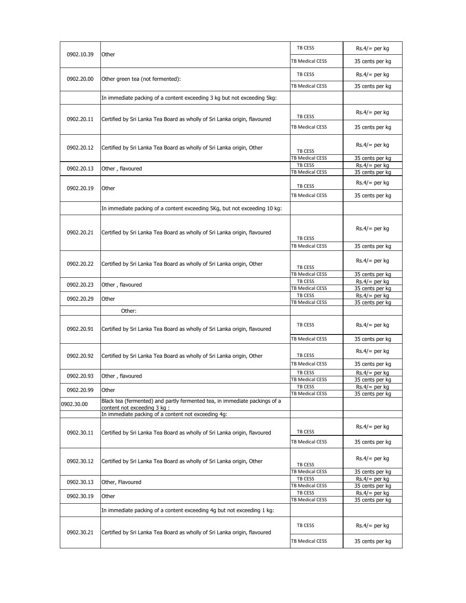| 0902.10.39 | Other                                                                      | TB CESS                           | $Rs.4/=$ per kg                                     |
|------------|----------------------------------------------------------------------------|-----------------------------------|-----------------------------------------------------|
|            |                                                                            | <b>TB Medical CESS</b>            | 35 cents per kg                                     |
| 0902.20.00 | Other green tea (not fermented):                                           | TB CESS                           | $Rs.4/=$ per kg                                     |
|            |                                                                            | <b>TB Medical CESS</b>            | 35 cents per kg                                     |
|            | In immediate packing of a content exceeding 3 kg but not exceeding 5kg:    |                                   |                                                     |
| 0902.20.11 | Certified by Sri Lanka Tea Board as wholly of Sri Lanka origin, flavoured  | TB CESS                           | $Rs.4/=$ per kg                                     |
|            |                                                                            | <b>TB Medical CESS</b>            | 35 cents per kg                                     |
| 0902.20.12 | Certified by Sri Lanka Tea Board as wholly of Sri Lanka origin, Other      | TB CESS                           | $Rs.4/=$ per kg                                     |
|            |                                                                            | <b>TB Medical CESS</b><br>TB CESS | 35 cents per kg<br>$Rs.4/=$ per kg                  |
| 0902.20.13 | Other, flavoured                                                           | <b>TB Medical CESS</b>            | 35 cents per kg                                     |
|            |                                                                            | TB CESS                           | $Rs.4/=$ per kg                                     |
| 0902.20.19 | Other                                                                      | <b>TB Medical CESS</b>            | 35 cents per kg                                     |
|            | In immediate packing of a content exceeding 5Kg, but not exceeding 10 kg:  |                                   |                                                     |
| 0902.20.21 | Certified by Sri Lanka Tea Board as wholly of Sri Lanka origin, flavoured  | TB CESS                           | $Rs.4/=$ per kg                                     |
|            |                                                                            | <b>TB Medical CESS</b>            | 35 cents per kg                                     |
| 0902.20.22 | Certified by Sri Lanka Tea Board as wholly of Sri Lanka origin, Other      | TB CESS                           | $Rs.4/=$ per kg                                     |
|            |                                                                            | TB Medical CESS                   | 35 cents per kg                                     |
| 0902.20.23 | Other, flavoured                                                           | TB CESS                           | $Rs.4/=$ per kg                                     |
|            |                                                                            | TB Medical CESS<br>TB CESS        | 35 cents per kg<br>$Rs.4/=$ per kg                  |
| 0902.20.29 | Other                                                                      | TB Medical CESS                   | 35 cents per kg                                     |
|            | Other:                                                                     |                                   |                                                     |
| 0902.20.91 | Certified by Sri Lanka Tea Board as wholly of Sri Lanka origin, flavoured  | TB CESS                           | $Rs.4/=$ per kg                                     |
|            |                                                                            | TB Medical CESS                   | 35 cents per kg                                     |
| 0902.20.92 | Certified by Sri Lanka Tea Board as wholly of Sri Lanka origin, Other      | TB CESS                           | $Rs.4/=$ per kg                                     |
|            |                                                                            | TB Medical CESS                   | 35 cents per kg                                     |
| 0902.20.93 | Other, flavoured                                                           | TB CESS                           | $\overline{\text{Rs}}.4/=\underline{\text{per kg}}$ |
|            |                                                                            | TB Medical CESS                   | 35 cents per kg                                     |
| 0902.20.99 | Other                                                                      | TB CESS<br>TB Medical CESS        | $Rs.4/=$ per kg<br>35 cents per kg                  |
|            | Black tea (fermented) and partly fermented tea, in immediate packings of a |                                   |                                                     |
| 0902.30.00 | content not exceeding 3 kg:                                                |                                   |                                                     |
|            | In immediate packing of a content not exceeding 4g:                        |                                   |                                                     |
| 0902.30.11 | Certified by Sri Lanka Tea Board as wholly of Sri Lanka origin, flavoured  | TB CESS                           | $Rs.4/=$ per kg                                     |
|            |                                                                            | TB Medical CESS                   | 35 cents per kg                                     |
| 0902.30.12 | Certified by Sri Lanka Tea Board as wholly of Sri Lanka origin, Other      | TB CESS                           | $Rs.4/=$ per kg                                     |
|            |                                                                            | TB Medical CESS                   | 35 cents per kg                                     |
| 0902.30.13 | Other, Flavoured                                                           | TB CESS                           | $Rs.4/=$ per kg                                     |
|            |                                                                            | TB Medical CESS<br>TB CESS        | 35 cents per kg<br>$Rs.4/=$ per kg                  |
| 0902.30.19 | Other                                                                      | TB Medical CESS                   | 35 cents per kg                                     |
|            |                                                                            |                                   |                                                     |
|            | In immediate packing of a content exceeding 4g but not exceeding 1 kg:     |                                   |                                                     |
| 0902.30.21 | Certified by Sri Lanka Tea Board as wholly of Sri Lanka origin, flavoured  | TB CESS                           | $Rs.4/=$ per kg                                     |
|            |                                                                            | <b>TB Medical CESS</b>            | 35 cents per kg                                     |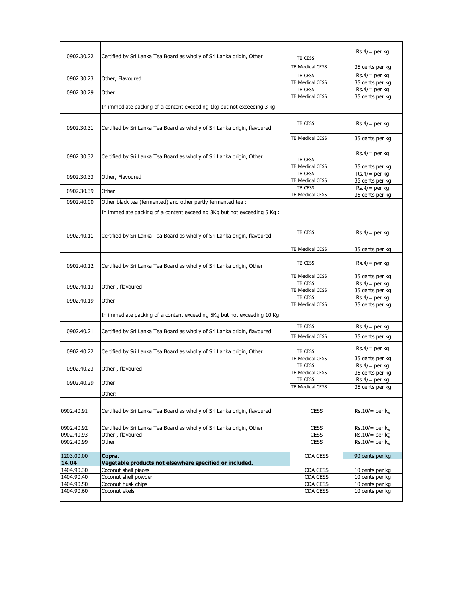| 0902.30.22 | Certified by Sri Lanka Tea Board as wholly of Sri Lanka origin, Other     | TB CESS                    | $Rs.4/=$ per kg                    |
|------------|---------------------------------------------------------------------------|----------------------------|------------------------------------|
|            |                                                                           | TB Medical CESS            | 35 cents per kg                    |
| 0902.30.23 | Other, Flavoured                                                          | TB CESS                    | $Rs.4/=$ per kg                    |
|            |                                                                           | TB Medical CESS<br>TB CESS | 35 cents per kg<br>$Rs.4/=$ per kg |
| 0902.30.29 | Other                                                                     | <b>TB Medical CESS</b>     | 35 cents per kg                    |
|            |                                                                           |                            |                                    |
|            | In immediate packing of a content exceeding 1kg but not exceeding 3 kg:   |                            |                                    |
| 0902.30.31 | Certified by Sri Lanka Tea Board as wholly of Sri Lanka origin, flavoured | TB CESS                    | $Rs.4/=$ per kg                    |
|            |                                                                           | <b>TB Medical CESS</b>     | 35 cents per kg                    |
| 0902.30.32 | Certified by Sri Lanka Tea Board as wholly of Sri Lanka origin, Other     | TB CESS                    | $Rs.4/=$ per kg                    |
|            |                                                                           | TB Medical CESS            | 35 cents per kg                    |
| 0902.30.33 | Other, Flavoured                                                          | TB CESS<br>TB Medical CESS | $Rs.4/=$ per kg<br>35 cents per kg |
|            |                                                                           | TB CESS                    | $Rs.4/=$ per kg                    |
| 0902.30.39 | Other                                                                     | TB Medical CESS            | 35 cents per kg                    |
| 0902.40.00 | Other black tea (fermented) and other partly fermented tea :              |                            |                                    |
|            | In immediate packing of a content exceeding 3Kg but not exceeding 5 Kg :  |                            |                                    |
|            |                                                                           |                            |                                    |
| 0902.40.11 | Certified by Sri Lanka Tea Board as wholly of Sri Lanka origin, flavoured | TB CESS                    | $Rs.4/=$ per kg                    |
|            |                                                                           | TB Medical CESS            | 35 cents per kg                    |
| 0902.40.12 | Certified by Sri Lanka Tea Board as wholly of Sri Lanka origin, Other     | TB CESS                    | $Rs.4/=$ per kg                    |
|            |                                                                           | TB Medical CESS            | 35 cents per kg                    |
| 0902.40.13 | Other, flavoured                                                          | TB CESS                    | $Rs.4/=$ per kg                    |
|            |                                                                           | TB Medical CESS<br>TB CESS | 35 cents per kg                    |
| 0902.40.19 | Other                                                                     | TB Medical CESS            | $Rs.4/=$ per kg<br>35 cents per kg |
|            |                                                                           |                            |                                    |
|            | In immediate packing of a content exceeding 5Kg but not exceeding 10 Kg:  |                            |                                    |
|            |                                                                           | TB CESS                    | $Rs.4/=$ per kg                    |
| 0902.40.21 | Certified by Sri Lanka Tea Board as wholly of Sri Lanka origin, flavoured | <b>TB Medical CESS</b>     | 35 cents per kg                    |
|            |                                                                           |                            |                                    |
| 0902.40.22 | Certified by Sri Lanka Tea Board as wholly of Sri Lanka origin, Other     | TB CESS                    | $Rs.4/=$ per kg                    |
|            |                                                                           | TB Medical CESS            | 35 cents per kg                    |
| 0902.40.23 | Other, flavoured                                                          | TB CESS                    | $Rs.4/=$ per kg                    |
|            |                                                                           | TB Medical CESS            | 35 cents per kg                    |
| 0902.40.29 | Other                                                                     | TB CESS                    | $Rs.4/=$ per kg                    |
|            |                                                                           | <b>TB Medical CESS</b>     | 35 cents per kg                    |
|            | Other:                                                                    |                            |                                    |
| 0902.40.91 | Certified by Sri Lanka Tea Board as wholly of Sri Lanka origin, flavoured | <b>CESS</b>                | $Rs.10/=$ per kg                   |
| 0902.40.92 | Certified by Sri Lanka Tea Board as wholly of Sri Lanka origin, Other     | <b>CESS</b>                | $Rs.10/=$ per kg                   |
| 0902.40.93 | Other, flavoured                                                          | <b>CESS</b>                | $Rs.10/=$ per kg                   |
| 0902.40.99 | Other                                                                     | <b>CESS</b>                | $Rs.10/=$ per kg                   |
| 1203.00.00 |                                                                           | CDA CESS                   | 90 cents per kg                    |
| 14.04      | Copra.<br>Vegetable products not elsewhere specified or included.         |                            |                                    |
| 1404.90.30 | Coconut shell pieces                                                      | <b>CDA CESS</b>            | 10 cents per kg                    |
| 1404.90.40 | Coconut shell powder                                                      | <b>CDA CESS</b>            | 10 cents per kg                    |
| 1404.90.50 | Coconut husk chips                                                        | CDA CESS                   | 10 cents per kg                    |
| 1404.90.60 | Coconut ekels                                                             | CDA CESS                   | 10 cents per kg                    |
|            |                                                                           |                            |                                    |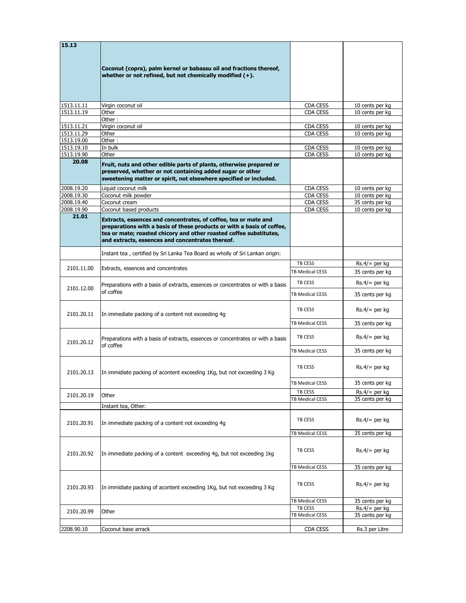| 15.13                    |                                                                                                                                  |                             |                                    |
|--------------------------|----------------------------------------------------------------------------------------------------------------------------------|-----------------------------|------------------------------------|
|                          |                                                                                                                                  |                             |                                    |
|                          | Coconut (copra), palm kernel or babassu oil and fractions thereof,                                                               |                             |                                    |
|                          | whether or not refined, but not chemically modified $(+)$ .                                                                      |                             |                                    |
|                          |                                                                                                                                  |                             |                                    |
|                          |                                                                                                                                  |                             |                                    |
|                          |                                                                                                                                  |                             |                                    |
| 1513.11.11<br>1513.11.19 | Virgin coconut oil<br>Other                                                                                                      | CDA CESS<br><b>CDA CESS</b> | 10 cents per kg<br>10 cents per kg |
|                          | Other:                                                                                                                           |                             |                                    |
| 1513.11.21               | Virgin coconut oil                                                                                                               | <b>CDA CESS</b>             | 10 cents per kg                    |
| 1513.11.29               | Other                                                                                                                            | <b>CDA CESS</b>             | 10 cents per kg                    |
| 1513.19.00               | Other :<br>In bulk                                                                                                               |                             |                                    |
| 1513.19.10<br>1513.19.90 | Other                                                                                                                            | CDA CESS<br><b>CDA CESS</b> | 10 cents per kg<br>10 cents per kg |
| 20.08                    |                                                                                                                                  |                             |                                    |
|                          | Fruit, nuts and other edible parts of plants, otherwise prepared or<br>preserved, whether or not containing added sugar or other |                             |                                    |
|                          | sweetening matter or spirit, not elsewhere specified or included.                                                                |                             |                                    |
| 2008.19.20               | Liguid coconut milk                                                                                                              | CDA CESS                    | 10 cents per kg                    |
| 2008.19.30               | Coconut milk powder                                                                                                              | CDA CESS                    | 10 cents per kg                    |
| 2008.19.40               | Coconut cream                                                                                                                    | <b>CDA CESS</b>             | 35 cents per kg                    |
| 2008.19.90               | Coconut based products                                                                                                           | <b>CDA CESS</b>             | 10 cents per kg                    |
| 21.01                    | Extracts, essences and concentrates, of coffee, tea or mate and                                                                  |                             |                                    |
|                          | preparations with a basis of these products or with a basis of coffee,                                                           |                             |                                    |
|                          | tea or mate; roasted chicory and other roasted coffee substitutes,                                                               |                             |                                    |
|                          | and extracts, essences and concentrates thereof.                                                                                 |                             |                                    |
|                          | Instant tea, certified by Sri Lanka Tea Board as wholly of Sri Lankan origin:                                                    |                             |                                    |
|                          |                                                                                                                                  | TB CESS                     | $Rs.4/=$ per kg                    |
| 2101.11.00               | Extracts, essences and concentrates                                                                                              | <b>TB Medical CESS</b>      | 35 cents per kg                    |
|                          | Preparations with a basis of extracts, essences or concentrates or with a basis                                                  | TB CESS                     | $Rs.4/=$ per kg                    |
| 2101.12.00               | of coffee                                                                                                                        | TB Medical CESS             | 35 cents per kg                    |
|                          |                                                                                                                                  |                             |                                    |
| 2101.20.11               | In immediate packing of a content not exceeding 4g                                                                               | TB CESS                     | $Rs.4/=$ per kg                    |
|                          |                                                                                                                                  | <b>TB Medical CESS</b>      | 35 cents per kg                    |
|                          |                                                                                                                                  |                             |                                    |
| 2101.20.12               | Preparations with a basis of extracts, essences or concentrates or with a basis                                                  | TB CESS                     | $Rs.4/=$ per kg                    |
|                          | of coffee                                                                                                                        | TB Medical CESS             | 35 cents per kg                    |
|                          |                                                                                                                                  |                             |                                    |
|                          |                                                                                                                                  | TB CESS                     | $Rs.4/=$ per kg                    |
| 2101.20.13               | In immidiate packing of acontent exceeding 1Kg, but not exceeding 3 Kg                                                           |                             |                                    |
|                          |                                                                                                                                  | TB Medical CESS             | 35 cents per kg                    |
|                          |                                                                                                                                  | TB CESS                     | $Rs.4/=$ per kg                    |
| 2101.20.19               | Other                                                                                                                            | TB Medical CESS             | 35 cents per kg                    |
|                          | Instant tea, Other:                                                                                                              |                             |                                    |
|                          |                                                                                                                                  |                             |                                    |
| 2101.20.91               | In immediate packing of a content not exceeding 4g                                                                               | TB CESS                     | $Rs.4/=$ per kg                    |
|                          |                                                                                                                                  | TB Medical CESS             | 35 cents per kg                    |
|                          |                                                                                                                                  |                             |                                    |
|                          |                                                                                                                                  | TB CESS                     | $Rs.4/=$ per kg                    |
| 2101.20.92               | In immediate packing of a content exceeding 4g, but not exceeding 1kg                                                            |                             |                                    |
|                          |                                                                                                                                  | TB Medical CESS             | 35 cents per kg                    |
|                          |                                                                                                                                  |                             |                                    |
|                          |                                                                                                                                  | TB CESS                     | $Rs.4/=$ per kg                    |
| 2101.20.93               | In immidiate packing of acontent exceeding 1Kg, but not exceeding 3 Kg                                                           |                             |                                    |
|                          |                                                                                                                                  | <b>TB Medical CESS</b>      | 35 cents per kg                    |
|                          |                                                                                                                                  | TB CESS                     | $Rs.4/=$ per kg                    |
| 2101.20.99               | Other                                                                                                                            | TB Medical CESS             | 35 cents per kg                    |
|                          |                                                                                                                                  |                             |                                    |
| 2208.90.10               | Coconut base arrack                                                                                                              | CDA CESS                    | Rs.3 per Litre                     |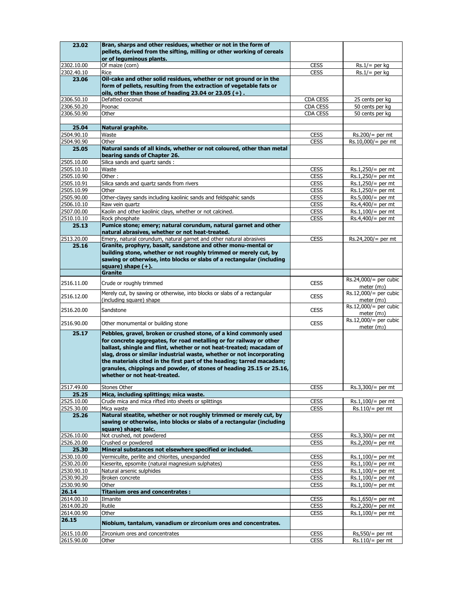| 23.02               | Bran, sharps and other residues, whether or not in the form of                                                         |                 |                                         |
|---------------------|------------------------------------------------------------------------------------------------------------------------|-----------------|-----------------------------------------|
|                     | pellets, derived from the sifting, milling or other working of cereals                                                 |                 |                                         |
|                     | or of leguminous plants.                                                                                               |                 |                                         |
| 2302.10.00          | Of maize (corn)                                                                                                        | <b>CESS</b>     | $Rs.1/=$ per kg                         |
| 2302.40.10          | Rice                                                                                                                   | <b>CESS</b>     | $Rs.1/=$ per kg                         |
| 23.06               | Oil-cake and other solid residues, whether or not ground or in the                                                     |                 |                                         |
|                     | form of pellets, resulting from the extraction of vegetable fats or                                                    |                 |                                         |
|                     | oils, other than those of heading $23.04$ or $23.05$ (+).                                                              |                 |                                         |
| 2306.50.10          | Defatted coconut                                                                                                       | CDA CESS        | 25 cents per kg                         |
| 2306.50.20          | Poonac                                                                                                                 | <b>CDA CESS</b> | 50 cents per kg                         |
| 2306.50.90          | Other                                                                                                                  | <b>CDA CESS</b> | 50 cents per kg                         |
|                     |                                                                                                                        |                 |                                         |
| 25.04               | Natural graphite.                                                                                                      |                 |                                         |
| 2504.90.10          | Waste                                                                                                                  | <b>CESS</b>     | $Rs.200/=$ per mt                       |
| 2504.90.90          | Other                                                                                                                  | <b>CESS</b>     | $Rs.10,000/=$ per mt                    |
| 25.05               | Natural sands of all kinds, whether or not coloured, other than metal                                                  |                 |                                         |
|                     | bearing sands of Chapter 26.                                                                                           |                 |                                         |
| 2505.10.00          | Silica sands and quartz sands:                                                                                         |                 |                                         |
| 2505.10.10          | Waste                                                                                                                  | <b>CESS</b>     | $Rs.1,250/=$ per mt                     |
| 2505.10.90          | Other:                                                                                                                 | <b>CESS</b>     | $Rs.1,250/=$ per mt                     |
| 2505.10.91          | Silica sands and quartz sands from rivers                                                                              | <b>CESS</b>     | $Rs.1,250$ = per mt                     |
| 2505.10.99          | Other                                                                                                                  | <b>CESS</b>     | Rs.1,250/= per mt                       |
| 2505.90.00          | Other-clayey sands including kaolinic sands and feldspahic sands                                                       | <b>CESS</b>     | $Rs.5,000/=$ per mt                     |
| 2506.10.10          | Raw vein quartz                                                                                                        | <b>CESS</b>     | $Rs.4,400/=$ per mt                     |
| 2507.00.00          | Kaolin and other kaolinic clays, whether or not calcined.                                                              | <b>CESS</b>     | $Rs.1,100/=$ per mt                     |
| 2510.10.10          | Rock phosphate                                                                                                         | <b>CESS</b>     | Rs.4,400/= per mt                       |
| 25.13               | Pumice stone; emery; natural corundum, natural garnet and other                                                        |                 |                                         |
|                     |                                                                                                                        |                 |                                         |
|                     | natural abrasives, whether or not heat-treated.<br>Emery, natural corundum, natural garnet and other natural abrasives | <b>CESS</b>     |                                         |
| 2513.20.00<br>25.16 | Granite, prophyry, basalt, sandstone and other monu-mental or                                                          |                 | $Rs.24,200/=$ per mt                    |
|                     | building stone, whether or not roughly trimmed or merely cut, by                                                       |                 |                                         |
|                     |                                                                                                                        |                 |                                         |
|                     | sawing or otherwise, into blocks or slabs of a rectangular (including                                                  |                 |                                         |
|                     | square) shape $(+)$ .<br>Granite                                                                                       |                 |                                         |
|                     |                                                                                                                        |                 | $Rs.24,000/=$ per cubic                 |
| 2516.11.00          | Crude or roughly trimmed                                                                                               | <b>CESS</b>     | meter $(m3)$                            |
| 2516.12.00          | Merely cut, by sawing or otherwise, into blocks or slabs of a rectangular                                              | <b>CESS</b>     | $Rs.12,000/=$ per cubic                 |
|                     | (including square) shape                                                                                               |                 | meter $(m3)$                            |
| 2516.20.00          | Sandstone                                                                                                              | <b>CESS</b>     | $Rs.12,000/=$ per cubic                 |
|                     |                                                                                                                        |                 | meter (m <sub>3</sub> )                 |
| 2516.90.00          | Other monumental or building stone                                                                                     | <b>CESS</b>     | $Rs.12,000/=$ per cubic<br>meter $(m3)$ |
| 25.17               | Pebbles, gravel, broken or crushed stone, of a kind commonly used                                                      |                 |                                         |
|                     | for concrete aggregates, for road metalling or for railway or other                                                    |                 |                                         |
|                     | ballast, shingle and flint, whether or not heat-treated; macadam of                                                    |                 |                                         |
|                     | slag, dross or similar industrial waste, whether or not incorporating                                                  |                 |                                         |
|                     | the materials cited in the first part of the heading; tarred macadam;                                                  |                 |                                         |
|                     | granules, chippings and powder, of stones of heading 25.15 or 25.16,                                                   |                 |                                         |
|                     | whether or not heat-treated.                                                                                           |                 |                                         |
|                     |                                                                                                                        |                 |                                         |
| 2517.49.00          | Stones Other                                                                                                           | <b>CESS</b>     | Rs.3,300/= per mt                       |
| 25.25               | Mica, including splittings; mica waste.                                                                                |                 |                                         |
| 2525.10.00          | Crude mica and mica rifted into sheets or splittings                                                                   | <b>CESS</b>     | Rs.1,100/= per mt                       |
| 2525.30.00          | Mica waste                                                                                                             | <b>CESS</b>     | $Rs.110/=$ per mt                       |
| 25.26               | Natural steatite, whether or not roughly trimmed or merely cut, by                                                     |                 |                                         |
|                     | sawing or otherwise, into blocks or slabs of a rectangular (including                                                  |                 |                                         |
|                     | square) shape; talc.                                                                                                   |                 |                                         |
| 2526.10.00          | Not crushed, not powdered                                                                                              | <b>CESS</b>     | $Rs.3,300/=$ per mt                     |
| 2526.20.00          | Crushed or powdered                                                                                                    | <b>CESS</b>     | $Rs.2,200/=$ per mt                     |
| 25.30               | Mineral substances not elsewhere specified or included.                                                                |                 |                                         |
| 2530.10.00          | Vermiculite, perlite and chlorites, unexpanded                                                                         | <b>CESS</b>     | $Rs.1,100/=$ per mt                     |
| 2530.20.00          | Kieserite, epsomite (natural magnesium sulphates)                                                                      | <b>CESS</b>     | $Rs.1,100/=$ per mt                     |
| 2530.90.10          | Natural arsenic sulphides                                                                                              | <b>CESS</b>     | $Rs.1,100/=$ per mt                     |
| 2530.90.20          | Broken concrete                                                                                                        | <b>CESS</b>     | $Rs.1,100/=$ per mt                     |
| 2530.90.90          | Other                                                                                                                  | <b>CESS</b>     | $Rs.1,100/=$ per mt                     |
| 26.14               | <b>Titanium ores and concentrates:</b>                                                                                 |                 |                                         |
| 2614.00.10          | Ilmanite                                                                                                               | <b>CESS</b>     | $Rs.1,650 = per mt$                     |
| 2614.00.20          | Rutile                                                                                                                 | <b>CESS</b>     | $Rs.2,200/=$ per mt                     |
| 2614.00.90          | Other                                                                                                                  | <b>CESS</b>     | $Rs.1,100/=$ per mt                     |
| 26.15               |                                                                                                                        |                 |                                         |
|                     | Niobium, tantalum, vanadium or zirconium ores and concentrates.                                                        |                 |                                         |
| 2615.10.00          | Zirconium ores and concentrates                                                                                        | <b>CESS</b>     | $Rs,550/=$ per mt                       |
| 2615.90.00          | Other                                                                                                                  | <b>CESS</b>     | $Rs.110/=$ per mt                       |
|                     |                                                                                                                        |                 |                                         |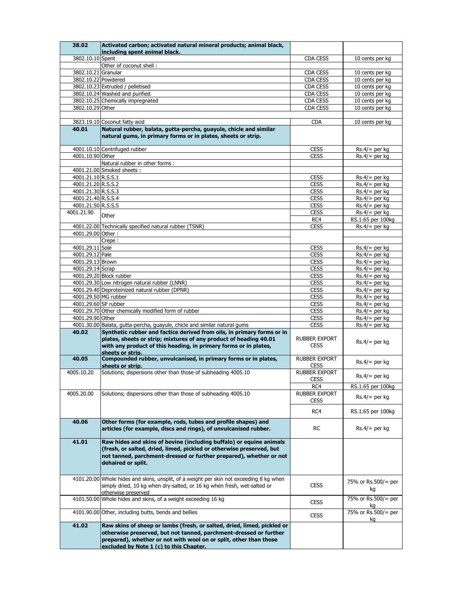| 38.02                | Activated carbon; activated natural mineral products; animal black,<br>including spent animal black.                                                                                                                                                         |                                     |                                      |
|----------------------|--------------------------------------------------------------------------------------------------------------------------------------------------------------------------------------------------------------------------------------------------------------|-------------------------------------|--------------------------------------|
| 3802.10.10 Spent     |                                                                                                                                                                                                                                                              | CDA CESS                            | 10 cents per kg                      |
|                      | Other of coconut shell:                                                                                                                                                                                                                                      |                                     |                                      |
| 3802.10.21 Granular  |                                                                                                                                                                                                                                                              | CDA CESS                            | 10 cents per kg                      |
| 3802.10.22 Powdered  | 3802.10.23 Extruded / pelletised                                                                                                                                                                                                                             | <b>CDA CESS</b><br><b>CDA CESS</b>  | 10 cents per kg<br>10 cents per kg   |
|                      | 3802.10.24 Washed and purified                                                                                                                                                                                                                               | CDA CESS                            | 10 cents per kg                      |
|                      | 3802.10.25 Chemically impregnated                                                                                                                                                                                                                            | CDA CESS                            | 10 cents per kg                      |
| 3802.10.29 Other     |                                                                                                                                                                                                                                                              | <b>CDA CESS</b>                     | 10 cents per kg                      |
|                      | 3823.19.10 Coconut fatty acid                                                                                                                                                                                                                                | <b>CDA</b>                          | 10 cents per kg                      |
| 40.01                | Natural rubber, balata, gutta-percha, guayule, chicle and similar                                                                                                                                                                                            |                                     |                                      |
|                      | natural gums, in primary forms or in plates, sheets or strip.                                                                                                                                                                                                |                                     |                                      |
|                      | 4001.10.10 Centrifuged rubber                                                                                                                                                                                                                                | <b>CESS</b>                         | $Rs.4/=$ per kg                      |
| 4001.10.90 Other     |                                                                                                                                                                                                                                                              | <b>CESS</b>                         | $Rs.4/=$ per kg                      |
|                      | Natural rubber in other forms :<br>4001.21.00 Smoked sheets :                                                                                                                                                                                                |                                     |                                      |
| 4001.21.10 R.S.S.1   |                                                                                                                                                                                                                                                              | <b>CESS</b>                         | $Rs.4/=$ per kg                      |
| 4001.21.20 R.S.S.2   |                                                                                                                                                                                                                                                              | <b>CESS</b>                         | $Rs.4/=$ per kg                      |
| 4001.21.30 R.S.S.3   |                                                                                                                                                                                                                                                              | <b>CESS</b>                         | $Rs.4/=$ per kg                      |
| 4001.21.40 R.S.S.4   |                                                                                                                                                                                                                                                              | <b>CESS</b>                         | $Rs.4/=$ per kg                      |
| 4001.21.50 R.S.S.5   |                                                                                                                                                                                                                                                              | <b>CESS</b>                         | $Rs.4/=$ per kg                      |
| 4001.21.90           | Other                                                                                                                                                                                                                                                        | <b>CESS</b>                         | $Rs.4/=$ per kg                      |
|                      | 4001.22.00 Technically specified natural rubber (TSNR)                                                                                                                                                                                                       | RC4<br><b>CESS</b>                  | RS.1.65 per 100kg<br>$Rs.4/=$ per kg |
| 4001.29.00 Other:    |                                                                                                                                                                                                                                                              |                                     |                                      |
|                      | Crepe:                                                                                                                                                                                                                                                       |                                     |                                      |
| 4001.29.11 Sole      |                                                                                                                                                                                                                                                              | <b>CESS</b>                         | $Rs.4/=$ per kg                      |
| 4001.29.12 Pale      |                                                                                                                                                                                                                                                              | <b>CESS</b>                         | $Rs.4/=$ per kg                      |
| 4001.29.13 Brown     |                                                                                                                                                                                                                                                              | <b>CESS</b>                         | $Rs.4/=$ per kg                      |
| 4001.29.14 Scrap     | 4001.29.20 Block rubber                                                                                                                                                                                                                                      | <b>CESS</b><br><b>CESS</b>          | $Rs.4/=$ per kg<br>$Rs.4/=$ per kg   |
|                      | 4001.29.30 Low nitrogen natural rubber (LNNR)                                                                                                                                                                                                                | <b>CESS</b>                         | $Rs.4/=$ per kg                      |
|                      | 4001.29.40 Deproteinized natural rubber (DPNR)                                                                                                                                                                                                               | <b>CESS</b>                         | $Rs.4/=$ per kg                      |
| 4001.29.50 MG rubber |                                                                                                                                                                                                                                                              | <b>CESS</b>                         | $Rs.4/=$ per kg                      |
| 4001.29.60 SP rubber |                                                                                                                                                                                                                                                              | <b>CESS</b>                         | $Rs.4/=$ per kg                      |
|                      | 4001.29.70 Other chemically modified form of rubber                                                                                                                                                                                                          | <b>CESS</b>                         | $Rs.4/=$ per kg                      |
| 4001.29.90 Other     |                                                                                                                                                                                                                                                              | <b>CESS</b>                         | $Rs.4/=$ per kg                      |
| 40.02                | 4001.30.00 Balata, gutta-percha, guayule, chicle and similar natural gums<br>Synthetic rubber and factice derived from oils, in primary forms or in                                                                                                          | <b>CESS</b>                         | $Rs.4/=$ per kg                      |
|                      | plates, sheets or strip; mixtures of any product of heading 40.01<br>with any product of this heading, in primary forms or in plates,<br>sheets or strip.                                                                                                    | <b>RUBBER EXPORT</b><br><b>CESS</b> | $Rs.4/=$ per kg                      |
| 40.05                | Compounded rubber, unvulcanised, in primary forms or in plates,<br>sheets or strip.                                                                                                                                                                          | <b>RUBBER EXPORT</b><br><b>CESS</b> | $Rs.4/=$ per kg                      |
| 4005.10.20           | Solutions; dispersions other than those of subheading 4005.10                                                                                                                                                                                                | <b>RUBBER EXPORT</b><br><b>CESS</b> | $Rs.4/=$ per kg                      |
|                      |                                                                                                                                                                                                                                                              | RC4                                 | RS.1.65 per 100kg                    |
| 4005.20.00           | Solutions; dispersions other than those of subheading 4005.10                                                                                                                                                                                                | <b>RUBBER EXPORT</b><br><b>CESS</b> | $Rs.4/=$ per kg                      |
|                      | Other forms (for example, rods, tubes and profile shapes) and                                                                                                                                                                                                | RC4                                 | RS.1.65 per 100kg                    |
| 40.06                | articles (for example, discs and rings), of unvulcanised rubber.                                                                                                                                                                                             | RC                                  | $Rs.4/=$ per kg                      |
| 41.01                | Raw hides and skins of bovine (including buffalo) or equine animals<br>(fresh, or salted, dried, limed, pickled or otherwise preserved, but<br>not tanned, parchment-dressed or further prepared), whether or not<br>dehaired or split.                      |                                     |                                      |
|                      | 4101.20.00 Whole hides and skins, unsplit, of a weight per skin not exceeding 8 kg when<br>simply dried, 10 kg when dry-salted, or 16 kg when fresh, wet-salted or<br>otherwise preserved                                                                    | <b>CESS</b>                         | 75% or Rs.500/= per<br>kg            |
|                      | 4101.50.00 Whole hides and skins, of a weight exceeding 16 kg                                                                                                                                                                                                | <b>CESS</b>                         | 75% or Rs.500/= per<br>kq            |
|                      | 4101.90.00 Other, including butts, bends and bellies                                                                                                                                                                                                         | <b>CESS</b>                         | 75% or Rs.500/= per<br>kg            |
| 41.02                | Raw skins of sheep or lambs (fresh, or salted, dried, limed, pickled or<br>otherwise preserved, but not tanned, parchment-dressed or further<br>prepared), whether or not with wool on or split, other than those<br>excluded by Note 1 (c) to this Chapter. |                                     |                                      |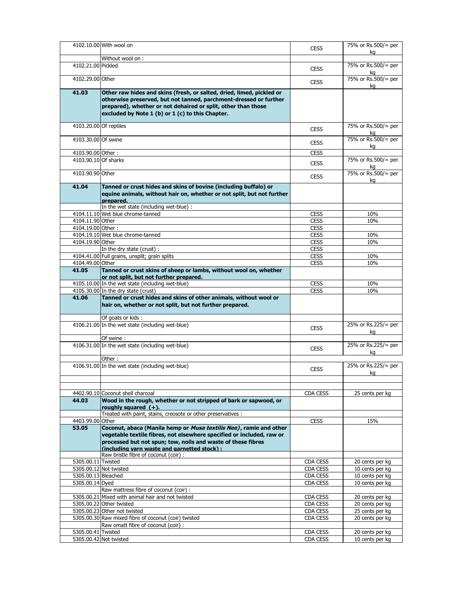|                        | 4102.10.00 With wool on                                                                                                                                                                                                                                         | <b>CESS</b>                | 75% or Rs.500/= per<br>kq                                            |
|------------------------|-----------------------------------------------------------------------------------------------------------------------------------------------------------------------------------------------------------------------------------------------------------------|----------------------------|----------------------------------------------------------------------|
|                        | Without wool on :                                                                                                                                                                                                                                               |                            |                                                                      |
| 4102.21.00 Pickled     |                                                                                                                                                                                                                                                                 | <b>CESS</b>                | 75% or Rs.500/= per<br>kg                                            |
| 4102.29.00 Other       |                                                                                                                                                                                                                                                                 | <b>CESS</b>                | 75% or Rs.500/= per<br>kq                                            |
| 41.03                  | Other raw hides and skins (fresh, or salted, dried, limed, pickled or<br>otherwise preserved, but not tanned, parchment-dressed or further<br>prepared), whether or not dehaired or split, other than those<br>excluded by Note 1 (b) or 1 (c) to this Chapter. |                            |                                                                      |
| 4103.20.00 Of reptiles |                                                                                                                                                                                                                                                                 | <b>CESS</b>                | 75% or Rs.500/= per                                                  |
| 4103.30.00 Of swine    |                                                                                                                                                                                                                                                                 | <b>CESS</b>                | $\frac{\text{kg}}{\text{75\% \text{ or Rs.}}500/\text{= per}}$<br>kg |
| 4103.90.00 Other:      |                                                                                                                                                                                                                                                                 | <b>CESS</b>                |                                                                      |
| 4103.90.10 Of sharks   |                                                                                                                                                                                                                                                                 | <b>CESS</b>                | 75% or Rs.500/= per<br>kg                                            |
| 4103.90.90 Other       |                                                                                                                                                                                                                                                                 | <b>CESS</b>                | 75% or Rs.500/= per<br>ka                                            |
| 41.04                  | Tanned or crust hides and skins of bovine (including buffalo) or<br>equine animals, without hair on, whether or not split, but not further<br>prepared.                                                                                                         |                            |                                                                      |
|                        | In the wet state (including wet-blue) :                                                                                                                                                                                                                         |                            |                                                                      |
|                        | 4104.11.10 Wet blue chrome-tanned                                                                                                                                                                                                                               | <b>CESS</b>                | 10%                                                                  |
| 4104.11.90 Other       |                                                                                                                                                                                                                                                                 | <b>CESS</b>                | 10%                                                                  |
| 4104.19.00 Other:      |                                                                                                                                                                                                                                                                 | CESS                       |                                                                      |
|                        | 4104.19.10 Wet blue chrome-tanned                                                                                                                                                                                                                               | <b>CESS</b>                | 10%                                                                  |
| 4104.19.90 Other       |                                                                                                                                                                                                                                                                 | <b>CESS</b>                | 10%                                                                  |
|                        | In the dry state (crust) :<br>4104.41.00 Full grains, unsplit; grain splits                                                                                                                                                                                     | <b>CESS</b><br>CESS        | 10%                                                                  |
| 4104.49.00 Other       |                                                                                                                                                                                                                                                                 | <b>CESS</b>                | 10%                                                                  |
| 41.05                  | Tanned or crust skins of sheep or lambs, without wool on, whether                                                                                                                                                                                               |                            |                                                                      |
|                        | or not split, but not further prepared.                                                                                                                                                                                                                         |                            |                                                                      |
|                        | 4105.10.00 In the wet state (including wet-blue)<br>4105.30.00 In the dry state (crust)                                                                                                                                                                         | <b>CESS</b><br><b>CESS</b> | 10%<br>10%                                                           |
|                        |                                                                                                                                                                                                                                                                 |                            |                                                                      |
| 41.06                  | Tanned or crust hides and skins of other animals, without wool or<br>hair on, whether or not split, but not further prepared.                                                                                                                                   |                            |                                                                      |
|                        | Of goats or kids:                                                                                                                                                                                                                                               |                            |                                                                      |
|                        | 4106.21.00 In the wet state (including wet-blue)                                                                                                                                                                                                                | <b>CESS</b>                | 25% or Rs.225/= per<br>kq                                            |
|                        | Of swine:                                                                                                                                                                                                                                                       |                            |                                                                      |
|                        | 4106.31.00 In the wet state (including wet-blue)                                                                                                                                                                                                                | <b>CESS</b>                | 25% or Rs.225/= per<br>kg                                            |
|                        | Other:                                                                                                                                                                                                                                                          |                            |                                                                      |
|                        | 4106.91.00 In the wet state (including wet-blue)                                                                                                                                                                                                                | <b>CESS</b>                | 25% or Rs.225/= per<br>kg                                            |
|                        |                                                                                                                                                                                                                                                                 |                            |                                                                      |
|                        | 4402.90.10 Coconut shell charcoal                                                                                                                                                                                                                               | CDA CESS                   | 25 cents per kg                                                      |
| 44.03                  | Wood in the rough, whether or not stripped of bark or sapwood, or<br>roughly squared $(+)$ .                                                                                                                                                                    |                            |                                                                      |
|                        | Treated with paint, stains, creosote or other preservatives :                                                                                                                                                                                                   |                            |                                                                      |
| 4403.99.00 Other       |                                                                                                                                                                                                                                                                 | <b>CESS</b>                | 15%                                                                  |
| 53.05                  | Coconut, abaca (Manila hemp or Musa textilis Nee), ramie and other<br>vegetable textile fibres, not elsewhere specified or included, raw or<br>processed but not spun; tow, noils and waste of these fibres<br>(including varn waste and garnetted stock) :     |                            |                                                                      |
|                        | Raw bristle fibre of coconut (coir) :                                                                                                                                                                                                                           |                            |                                                                      |
| 5305.00.11 Twisted     |                                                                                                                                                                                                                                                                 | CDA CESS                   | 20 cents per kg                                                      |
|                        | 5305.00.12 Not twisted                                                                                                                                                                                                                                          | CDA CESS                   | 10 cents per kg                                                      |
| 5305.00.13 Bleached    |                                                                                                                                                                                                                                                                 | CDA CESS                   | 10 cents per kg                                                      |
| 5305.00.14 Dyed        |                                                                                                                                                                                                                                                                 | CDA CESS                   | 10 cents per kg                                                      |
|                        | Raw mattress fibre of coconut (coir) :                                                                                                                                                                                                                          |                            |                                                                      |
|                        | 5305.00.21 Mixed with animal hair and not twisted                                                                                                                                                                                                               | CDA CESS                   | 20 cents per kg                                                      |
|                        | 5305.00.22 Other twisted                                                                                                                                                                                                                                        | CDA CESS                   | 20 cents per kg                                                      |
|                        | 5305.00.23 Other not twisted                                                                                                                                                                                                                                    | CDA CESS                   | 25 cents per kg                                                      |
|                        | 5305.00.30 Raw mixed fibre of coconut (coir) twisted                                                                                                                                                                                                            | CDA CESS                   | 20 cents per kg                                                      |
|                        | Raw omatt fibre of coconut (coir) :                                                                                                                                                                                                                             |                            |                                                                      |
| 5305.00.41 Twisted     | 5305.00.42 Not twisted                                                                                                                                                                                                                                          | CDA CESS<br>CDA CESS       | 20 cents per kg<br>10 cents per kg                                   |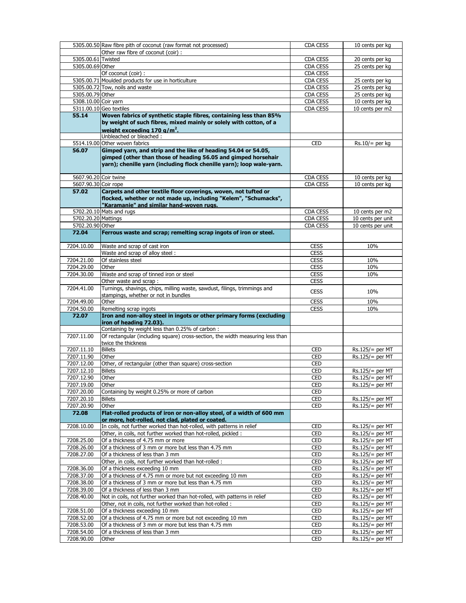| 5305.00.50 Raw fibre pith of coconut (raw format not processed)<br>Other raw fibre of coconut (coir):<br>5305.00.61 Twisted<br>CDA CESS<br>5305.00.69 Other<br>CDA CESS<br>Of coconut (coir) :<br><b>CDA CESS</b><br>5305.00.71 Moulded products for use in horticulture<br><b>CDA CESS</b><br>5305.00.72 Tow, noils and waste<br><b>CDA CESS</b><br>5305.00.79 Other<br><b>CDA CESS</b><br>5308.10.00 Coir yarn<br>CDA CESS<br>5311.00.10 Geo textiles<br>CDA CESS<br>Woven fabrics of synthetic staple fibres, containing less than 85%<br>55.14 | 20 cents per kg<br>25 cents per kg<br>25 cents per kg<br>25 cents per kg<br>25 cents per kg<br>10 cents per kg |
|----------------------------------------------------------------------------------------------------------------------------------------------------------------------------------------------------------------------------------------------------------------------------------------------------------------------------------------------------------------------------------------------------------------------------------------------------------------------------------------------------------------------------------------------------|----------------------------------------------------------------------------------------------------------------|
|                                                                                                                                                                                                                                                                                                                                                                                                                                                                                                                                                    |                                                                                                                |
|                                                                                                                                                                                                                                                                                                                                                                                                                                                                                                                                                    |                                                                                                                |
|                                                                                                                                                                                                                                                                                                                                                                                                                                                                                                                                                    |                                                                                                                |
|                                                                                                                                                                                                                                                                                                                                                                                                                                                                                                                                                    |                                                                                                                |
|                                                                                                                                                                                                                                                                                                                                                                                                                                                                                                                                                    |                                                                                                                |
|                                                                                                                                                                                                                                                                                                                                                                                                                                                                                                                                                    |                                                                                                                |
|                                                                                                                                                                                                                                                                                                                                                                                                                                                                                                                                                    |                                                                                                                |
|                                                                                                                                                                                                                                                                                                                                                                                                                                                                                                                                                    |                                                                                                                |
|                                                                                                                                                                                                                                                                                                                                                                                                                                                                                                                                                    | 10 cents per m2                                                                                                |
|                                                                                                                                                                                                                                                                                                                                                                                                                                                                                                                                                    |                                                                                                                |
| by weight of such fibres, mixed mainly or solely with cotton, of a                                                                                                                                                                                                                                                                                                                                                                                                                                                                                 |                                                                                                                |
| weight exceeding 170 g/m <sup>2</sup> .                                                                                                                                                                                                                                                                                                                                                                                                                                                                                                            |                                                                                                                |
| Unbleached or bleached :                                                                                                                                                                                                                                                                                                                                                                                                                                                                                                                           |                                                                                                                |
| 5514.19.00 Other woven fabrics<br><b>CED</b>                                                                                                                                                                                                                                                                                                                                                                                                                                                                                                       | $Rs.10/=$ per kg                                                                                               |
| Gimped yarn, and strip and the like of heading 54.04 or 54.05,<br>56.07                                                                                                                                                                                                                                                                                                                                                                                                                                                                            |                                                                                                                |
| gimped (other than those of heading 56.05 and gimped horsehair                                                                                                                                                                                                                                                                                                                                                                                                                                                                                     |                                                                                                                |
| yarn); chenille yarn (including flock chenille yarn); loop wale-yarn.                                                                                                                                                                                                                                                                                                                                                                                                                                                                              |                                                                                                                |
| 5607.90.20 Coir twine<br>CDA CESS                                                                                                                                                                                                                                                                                                                                                                                                                                                                                                                  | 10 cents per kg                                                                                                |
| 5607.90.30 Coir rope<br><b>CDA CESS</b>                                                                                                                                                                                                                                                                                                                                                                                                                                                                                                            | 10 cents per kg                                                                                                |
| Carpets and other textile floor coverings, woven, not tufted or<br>57.02                                                                                                                                                                                                                                                                                                                                                                                                                                                                           |                                                                                                                |
| flocked, whether or not made up, including "Kelem", "Schumacks",                                                                                                                                                                                                                                                                                                                                                                                                                                                                                   |                                                                                                                |
| "Karamanie" and similar hand-woven rugs.                                                                                                                                                                                                                                                                                                                                                                                                                                                                                                           |                                                                                                                |
| 5702.20.10 Mats and rugs<br>CDA CESS                                                                                                                                                                                                                                                                                                                                                                                                                                                                                                               | 10 cents per m2                                                                                                |
| 5702.20.20 Mattings<br>CDA CESS                                                                                                                                                                                                                                                                                                                                                                                                                                                                                                                    | 10 cents per unit                                                                                              |
| 5702.20.90 Other<br><b>CDA CESS</b>                                                                                                                                                                                                                                                                                                                                                                                                                                                                                                                | 10 cents per unit                                                                                              |
| Ferrous waste and scrap; remelting scrap ingots of iron or steel.<br>72.04                                                                                                                                                                                                                                                                                                                                                                                                                                                                         |                                                                                                                |
|                                                                                                                                                                                                                                                                                                                                                                                                                                                                                                                                                    |                                                                                                                |
| 7204.10.00<br>Waste and scrap of cast iron<br><b>CESS</b>                                                                                                                                                                                                                                                                                                                                                                                                                                                                                          | 10%                                                                                                            |
| Waste and scrap of alloy steel :<br><b>CESS</b>                                                                                                                                                                                                                                                                                                                                                                                                                                                                                                    |                                                                                                                |
| 7204.21.00<br>Of stainless steel<br><b>CESS</b>                                                                                                                                                                                                                                                                                                                                                                                                                                                                                                    | 10%                                                                                                            |
| 7204.29.00<br>Other<br><b>CESS</b>                                                                                                                                                                                                                                                                                                                                                                                                                                                                                                                 | 10%                                                                                                            |
| 7204.30.00<br><b>CESS</b><br>Waste and scrap of tinned iron or steel                                                                                                                                                                                                                                                                                                                                                                                                                                                                               | 10%                                                                                                            |
| Other waste and scrap:<br><b>CESS</b>                                                                                                                                                                                                                                                                                                                                                                                                                                                                                                              |                                                                                                                |
| Turnings, shavings, chips, milling waste, sawdust, filings, trimmings and<br>7204.41.00<br><b>CESS</b>                                                                                                                                                                                                                                                                                                                                                                                                                                             | 10%                                                                                                            |
| stampings, whether or not in bundles                                                                                                                                                                                                                                                                                                                                                                                                                                                                                                               |                                                                                                                |
| Other<br>7204.49.00<br><b>CESS</b>                                                                                                                                                                                                                                                                                                                                                                                                                                                                                                                 |                                                                                                                |
|                                                                                                                                                                                                                                                                                                                                                                                                                                                                                                                                                    | 10%                                                                                                            |
| 7204.50.00<br>Remelting scrap ingots<br><b>CESS</b>                                                                                                                                                                                                                                                                                                                                                                                                                                                                                                | 10%                                                                                                            |
| Iron and non-alloy steel in ingots or other primary forms (excluding<br>72.07                                                                                                                                                                                                                                                                                                                                                                                                                                                                      |                                                                                                                |
| iron of heading 72.03).                                                                                                                                                                                                                                                                                                                                                                                                                                                                                                                            |                                                                                                                |
| Containing by weight less than 0.25% of carbon :                                                                                                                                                                                                                                                                                                                                                                                                                                                                                                   |                                                                                                                |
| Of rectangular (including square) cross-section, the width measuring less than<br>7207.11.00                                                                                                                                                                                                                                                                                                                                                                                                                                                       |                                                                                                                |
| twice the thickness                                                                                                                                                                                                                                                                                                                                                                                                                                                                                                                                |                                                                                                                |
| <b>Billets</b><br>7207.11.10<br><b>CED</b><br>Other<br><b>CED</b>                                                                                                                                                                                                                                                                                                                                                                                                                                                                                  | $Rs.125/=$ per MT                                                                                              |
| 7207.11.90<br>7207.12.00<br>Other, of rectangular (other than square) cross-section<br><b>CED</b>                                                                                                                                                                                                                                                                                                                                                                                                                                                  | Rs.125/= per MT                                                                                                |
| 7207.12.10<br><b>Billets</b><br><b>CED</b>                                                                                                                                                                                                                                                                                                                                                                                                                                                                                                         | $Rs.125/=$ per MT                                                                                              |
| 7207.12.90<br>Other<br><b>CED</b>                                                                                                                                                                                                                                                                                                                                                                                                                                                                                                                  | Rs.125/= per MT                                                                                                |
| 7207.19.00<br>Other<br><b>CED</b>                                                                                                                                                                                                                                                                                                                                                                                                                                                                                                                  | $Rs.125/=$ per MT                                                                                              |
| 7207.20.00<br>Containing by weight 0.25% or more of carbon<br><b>CED</b>                                                                                                                                                                                                                                                                                                                                                                                                                                                                           |                                                                                                                |
| 7207.20.10<br><b>Billets</b><br>CED                                                                                                                                                                                                                                                                                                                                                                                                                                                                                                                | $Rs.125/=$ per MT                                                                                              |
| 7207.20.90<br>Other<br><b>CED</b>                                                                                                                                                                                                                                                                                                                                                                                                                                                                                                                  | $Rs.125/=$ per MT                                                                                              |
| 72.08<br>Flat-rolled products of iron or non-alloy steel, of a width of 600 mm                                                                                                                                                                                                                                                                                                                                                                                                                                                                     |                                                                                                                |
| or more, hot-rolled, not clad, plated or coated.                                                                                                                                                                                                                                                                                                                                                                                                                                                                                                   |                                                                                                                |
| 7208.10.00<br>In coils, not further worked than hot-rolled, with patterns in relief<br>CED                                                                                                                                                                                                                                                                                                                                                                                                                                                         | $Rs.125/=$ per MT                                                                                              |
| Other, in coils, not further worked than hot-rolled, pickled :<br><b>CED</b>                                                                                                                                                                                                                                                                                                                                                                                                                                                                       | $Rs.125$ /= per MT                                                                                             |
| 7208.25.00<br>Of a thickness of 4.75 mm or more<br><b>CED</b>                                                                                                                                                                                                                                                                                                                                                                                                                                                                                      | $Rs.125/=$ per MT                                                                                              |
| 7208.26.00<br>Of a thickness of 3 mm or more but less than 4.75 mm<br>CED                                                                                                                                                                                                                                                                                                                                                                                                                                                                          | $Rs.125/=$ per MT                                                                                              |
| 7208.27.00<br>Of a thickness of less than 3 mm<br>CED                                                                                                                                                                                                                                                                                                                                                                                                                                                                                              | $Rs.125/=$ per MT                                                                                              |
| Other, in coils, not further worked than hot-rolled :<br><b>CED</b>                                                                                                                                                                                                                                                                                                                                                                                                                                                                                | $Rs.125/=$ per MT                                                                                              |
| 7208.36.00<br>Of a thickness exceeding 10 mm<br><b>CED</b>                                                                                                                                                                                                                                                                                                                                                                                                                                                                                         | $Rs.125/=$ per MT                                                                                              |
| 7208.37.00<br>Of a thickness of 4.75 mm or more but not exceeding 10 mm<br>CED                                                                                                                                                                                                                                                                                                                                                                                                                                                                     | $Rs.125/=$ per MT                                                                                              |
| 7208.38.00<br>Of a thickness of 3 mm or more but less than 4.75 mm<br><b>CED</b>                                                                                                                                                                                                                                                                                                                                                                                                                                                                   | $Rs.125/=$ per MT                                                                                              |
| Of a thickness of less than 3 mm<br>7208.39.00<br><b>CED</b>                                                                                                                                                                                                                                                                                                                                                                                                                                                                                       | $Rs.125/=$ per MT                                                                                              |
| 7208.40.00<br>Not in coils, not further worked than hot-rolled, with patterns in relief<br><b>CED</b>                                                                                                                                                                                                                                                                                                                                                                                                                                              | $Rs.125/=$ per MT                                                                                              |
| Other, not in coils, not further worked than hot-rolled :<br><b>CED</b>                                                                                                                                                                                                                                                                                                                                                                                                                                                                            | $Rs.125/=$ per MT                                                                                              |
| 7208.51.00<br>Of a thickness exceeding 10 mm<br><b>CED</b>                                                                                                                                                                                                                                                                                                                                                                                                                                                                                         | $Rs.125$ /= per MT                                                                                             |
| 7208.52.00<br>Of a thickness of 4.75 mm or more but not exceeding 10 mm<br><b>CED</b>                                                                                                                                                                                                                                                                                                                                                                                                                                                              | $Rs.125/=$ per MT                                                                                              |
| 7208.53.00<br>Of a thickness of 3 mm or more but less than 4.75 mm<br><b>CED</b><br>7208.54.00<br>Of a thickness of less than 3 mm<br>CED                                                                                                                                                                                                                                                                                                                                                                                                          | $Rs.125/=$ per MT<br>Rs.125/= per MT                                                                           |